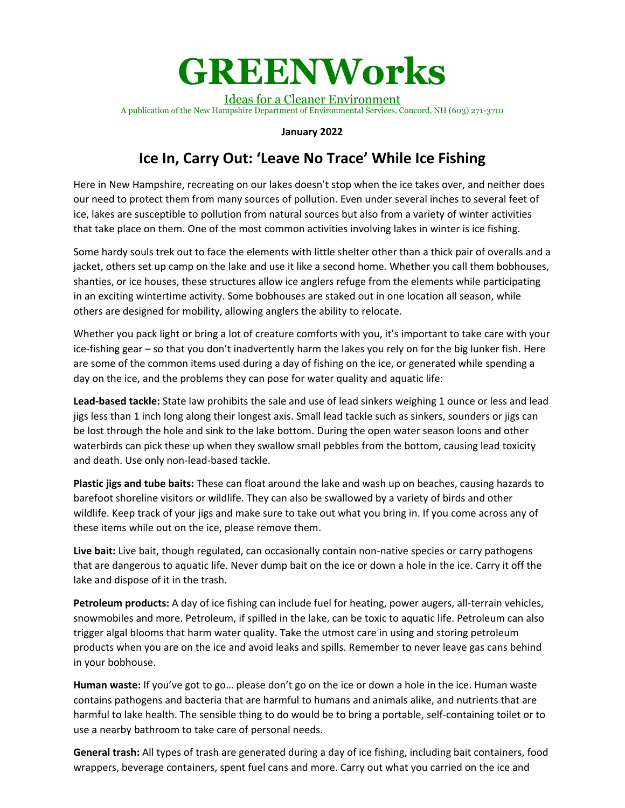## **GREENWorks**

Ideas for a Cleaner Environment A publication of the New Hampshire Department of Environmental Services, Concord, NH (603) 271-3710

## **January 2022**

## **Ice In, Carry Out: 'Leave No Trace' While Ice Fishing**

Here in New Hampshire, recreating on our lakes doesn't stop when the ice takes over, and neither does our need to protect them from many sources of pollution. Even under several inches to several feet of ice, lakes are susceptible to pollution from natural sources but also from a variety of winter activities that take place on them. One of the most common activities involving lakes in winter is ice fishing.

Some hardy souls trek out to face the elements with little shelter other than a thick pair of overalls and a jacket, others set up camp on the lake and use it like a second home. Whether you call them bobhouses, shanties, or ice houses, these structures allow ice anglers refuge from the elements while participating in an exciting wintertime activity. Some bobhouses are staked out in one location all season, while others are designed for mobility, allowing anglers the ability to relocate.

Whether you pack light or bring a lot of creature comforts with you, it's important to take care with your ice-fishing gear – so that you don't inadvertently harm the lakes you rely on for the big lunker fish. Here are some of the common items used during a day of fishing on the ice, or generated while spending a day on the ice, and the problems they can pose for water quality and aquatic life:

**Lead-based tackle:** State law prohibits the sale and use of lead sinkers weighing 1 ounce or less and lead jigs less than 1 inch long along their longest axis. Small lead tackle such as sinkers, sounders or jigs can be lost through the hole and sink to the lake bottom. During the open water season loons and other waterbirds can pick these up when they swallow small pebbles from the bottom, causing lead toxicity and death. Use only non-lead-based tackle.

**Plastic jigs and tube baits:** These can float around the lake and wash up on beaches, causing hazards to barefoot shoreline visitors or wildlife. They can also be swallowed by a variety of birds and other wildlife. Keep track of your jigs and make sure to take out what you bring in. If you come across any of these items while out on the ice, please remove them.

**Live bait:** Live bait, though regulated, can occasionally contain non-native species or carry pathogens that are dangerous to aquatic life. Never dump bait on the ice or down a hole in the ice. Carry it off the lake and dispose of it in the trash.

**Petroleum products:** A day of ice fishing can include fuel for heating, power augers, all-terrain vehicles, snowmobiles and more. Petroleum, if spilled in the lake, can be toxic to aquatic life. Petroleum can also trigger algal blooms that harm water quality. Take the utmost care in using and storing petroleum products when you are on the ice and avoid leaks and spills. Remember to never leave gas cans behind in your bobhouse.

**Human waste:** If you've got to go… please don't go on the ice or down a hole in the ice. Human waste contains pathogens and bacteria that are harmful to humans and animals alike, and nutrients that are harmful to lake health. The sensible thing to do would be to bring a portable, self-containing toilet or to use a nearby bathroom to take care of personal needs.

**General trash:** All types of trash are generated during a day of ice fishing, including bait containers, food wrappers, beverage containers, spent fuel cans and more. Carry out what you carried on the ice and